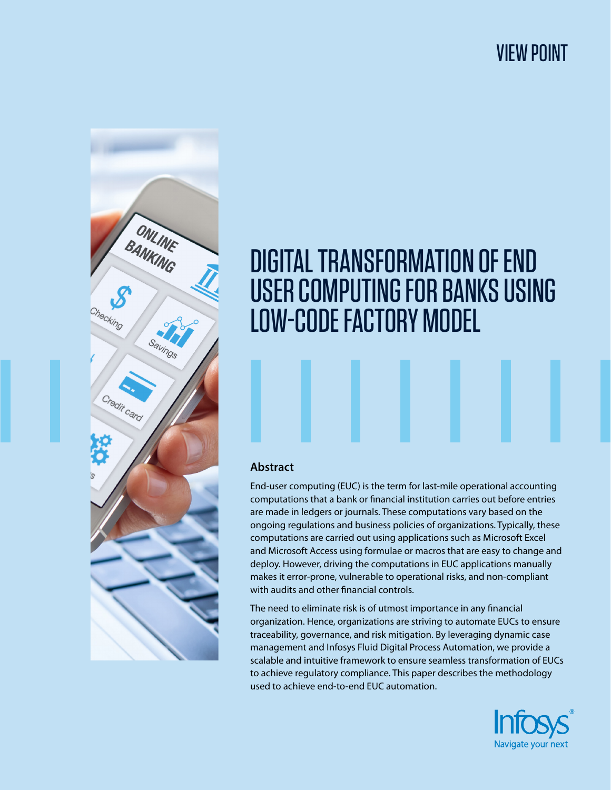## VIEW POINT



# DIGITAL TRANSFORMATION OF END USER COMPUTING FOR BANKS USING LOW-CODE FACTORY MODEL

#### **Abstract**

End-user computing (EUC) is the term for last-mile operational accounting computations that a bank or financial institution carries out before entries are made in ledgers or journals. These computations vary based on the ongoing regulations and business policies of organizations. Typically, these computations are carried out using applications such as Microsoft Excel and Microsoft Access using formulae or macros that are easy to change and deploy. However, driving the computations in EUC applications manually makes it error-prone, vulnerable to operational risks, and non-compliant with audits and other financial controls.

The need to eliminate risk is of utmost importance in any financial organization. Hence, organizations are striving to automate EUCs to ensure traceability, governance, and risk mitigation. By leveraging dynamic case management and Infosys Fluid Digital Process Automation, we provide a scalable and intuitive framework to ensure seamless transformation of EUCs to achieve regulatory compliance. This paper describes the methodology used to achieve end-to-end EUC automation.

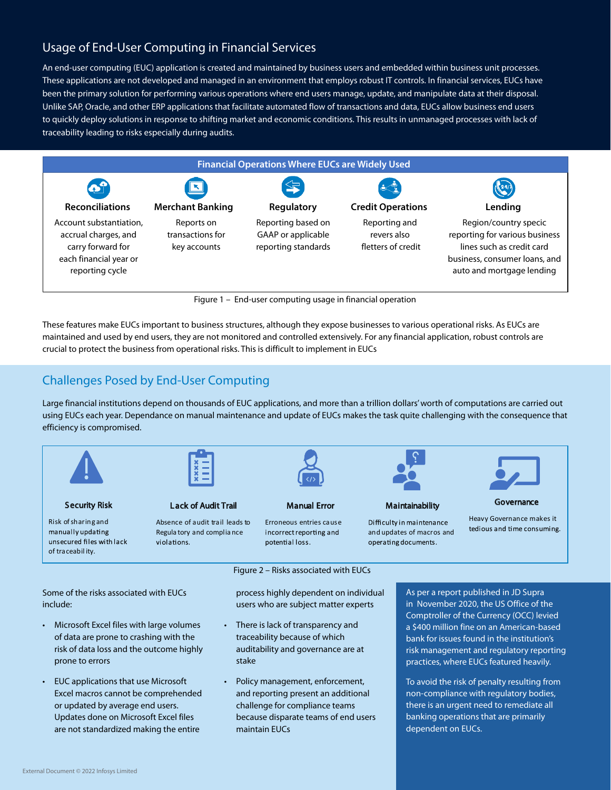## Usage of End-User Computing in Financial Services

An end-user computing (EUC) application is created and maintained by business users and embedded within business unit processes. These applications are not developed and managed in an environment that employs robust IT controls. In financial services, EUCs have been the primary solution for performing various operations where end users manage, update, and manipulate data at their disposal. Unlike SAP, Oracle, and other ERP applications that facilitate automated flow of transactions and data, EUCs allow business end users to quickly deploy solutions in response to shifting market and economic conditions. This results in unmanaged processes with lack of traceability leading to risks especially during audits.



Figure 1 – End-user computing usage in financial operation

These features make EUCs important to business structures, although they expose businesses to various operational risks. As EUCs are maintained and used by end users, they are not monitored and controlled extensively. For any financial application, robust controls are crucial to protect the business from operational risks. This is difficult to implement in EUCs

## Challenges Posed by End-User Computing

Large financial institutions depend on thousands of EUC applications, and more than a trillion dollars' worth of computations are carried out using EUCs each year. Dependance on manual maintenance and update of EUCs makes the task quite challenging with the consequence that efficiency is compromised.



Risk of sharing and

manually updating

of traceabil ity.

Security Risk

unsecured files with lack

L ack of Audit Trail

Absence of audit trail leads to Regula tory and complia nce violations.



#### Manual Error

Erroneous entries cause incorrect reporting and potential loss.

**Maintainability** 

**Governance** Heavy Governance makes it

Difficulty in maintenance and updates of macros and operating documents.

tedious and time consuming.

Some of the risks associated with EUCs include:

- Microsoft Excel files with large volumes of data are prone to crashing with the risk of data loss and the outcome highly prone to errors
- EUC applications that use Microsoft Excel macros cannot be comprehended or updated by average end users. Updates done on Microsoft Excel files are not standardized making the entire

Figure 2 – Risks associated with EUCs

process highly dependent on individual users who are subject matter experts

- There is lack of transparency and traceability because of which auditability and governance are at stake
- Policy management, enforcement, and reporting present an additional challenge for compliance teams because disparate teams of end users maintain EUCs

As per a report published in JD Supra in November 2020, the US Office of the Comptroller of the Currency (OCC) levied a \$400 million fine on an American-based bank for issues found in the institution's risk management and regulatory reporting practices, where EUCs featured heavily.

To avoid the risk of penalty resulting from non-compliance with regulatory bodies, there is an urgent need to remediate all banking operations that are primarily dependent on EUCs.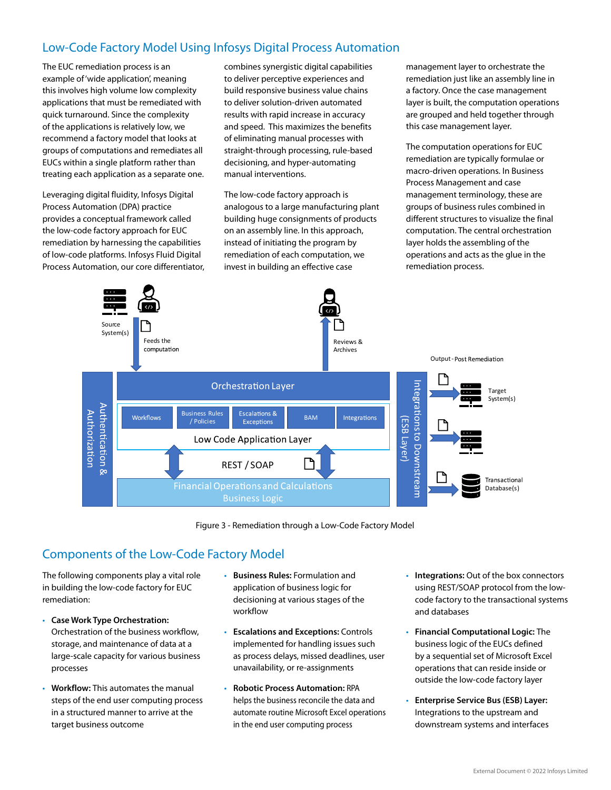## Low-Code Factory Model Using Infosys Digital Process Automation

The EUC remediation process is an example of 'wide application', meaning this involves high volume low complexity applications that must be remediated with quick turnaround. Since the complexity of the applications is relatively low, we recommend a factory model that looks at groups of computations and remediates all EUCs within a single platform rather than treating each application as a separate one.

Leveraging digital fluidity, Infosys Digital Process Automation (DPA) practice provides a conceptual framework called the low-code factory approach for EUC remediation by harnessing the capabilities of low-code platforms. Infosys Fluid Digital Process Automation, our core differentiator, combines synergistic digital capabilities to deliver perceptive experiences and build responsive business value chains to deliver solution-driven automated results with rapid increase in accuracy and speed. This maximizes the benefits of eliminating manual processes with straight-through processing, rule-based decisioning, and hyper-automating manual interventions.

The low-code factory approach is analogous to a large manufacturing plant building huge consignments of products on an assembly line. In this approach, instead of initiating the program by remediation of each computation, we invest in building an effective case

management layer to orchestrate the remediation just like an assembly line in a factory. Once the case management layer is built, the computation operations are grouped and held together through this case management layer.

The computation operations for EUC remediation are typically formulae or macro-driven operations. In Business Process Management and case management terminology, these are groups of business rules combined in different structures to visualize the final computation. The central orchestration layer holds the assembling of the operations and acts as the glue in the remediation process.



Figure 3 - Remediation through a Low-Code Factory Model

## Components of the Low-Code Factory Model

The following components play a vital role in building the low-code factory for EUC remediation:

- **Case Work Type Orchestration:** Orchestration of the business workflow, storage, and maintenance of data at a large-scale capacity for various business processes
- **Workflow:** This automates the manual steps of the end user computing process in a structured manner to arrive at the target business outcome
- **Business Rules:** Formulation and application of business logic for decisioning at various stages of the workflow
- **Escalations and Exceptions:** Controls implemented for handling issues such as process delays, missed deadlines, user unavailability, or re-assignments
- **Robotic Process Automation:** RPA helps the business reconcile the data and automate routine Microsoft Excel operations in the end user computing process
- **Integrations:** Out of the box connectors using REST/SOAP protocol from the lowcode factory to the transactional systems and databases
- **Financial Computational Logic:** The business logic of the EUCs defined by a sequential set of Microsoft Excel operations that can reside inside or outside the low-code factory layer
- **Enterprise Service Bus (ESB) Layer:**  Integrations to the upstream and downstream systems and interfaces